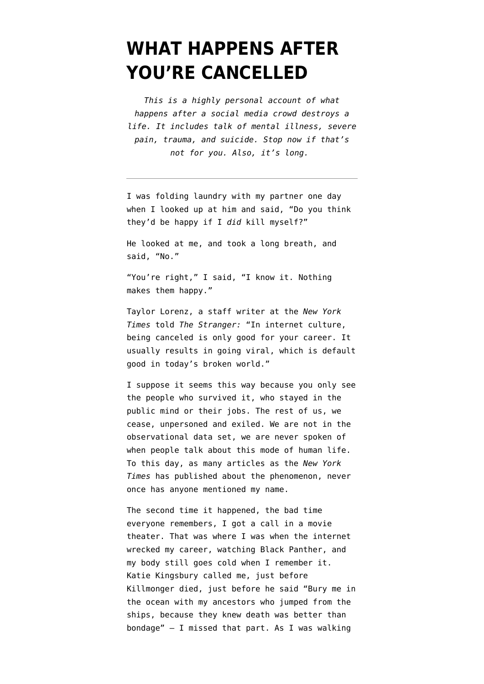## **[WHAT HAPPENS AFTER](https://www.emptywheel.net/2020/02/19/what-happens-after-youre-cancelled/) [YOU'RE CANCELLED](https://www.emptywheel.net/2020/02/19/what-happens-after-youre-cancelled/)**

*This is a highly personal account of what happens after a social media crowd destroys a life. It includes talk of mental illness, severe pain, trauma, and suicide. Stop now if that's not for you. Also, it's long.* 

I was folding laundry with my partner one day when I looked up at him and said, "Do you think they'd be happy if I *did* kill myself?"

He looked at me, and took a long breath, and said, "No."

"You're right," I said, "I know it. Nothing makes them happy."

Taylor Lorenz, a staff writer at the *New York Times* told *[The Stranger:](https://www.thestranger.com/slog/2019/09/17/41416013/cancel-culture-what-exactly-is-this-thing)* "In internet culture, being canceled is only good for your career. It usually results in going viral, which is default good in today's broken world."

I suppose it seems this way because you only see the people who survived it, who stayed in the public mind or their jobs. The rest of us, we cease, unpersoned and exiled. We are not in the observational data set, we are never spoken of when people talk about this mode of human life. To this day, as many articles as the *New York Times* has published about the phenomenon, never once has anyone mentioned my name.

The second time it happened, the bad time everyone remembers, I got a call in a movie theater. That was where I was when the internet wrecked my career, watching Black Panther, and my body still goes cold when I remember it. Katie Kingsbury called me, just before Killmonger died, just before he said "Bury me in the ocean with my ancestors who jumped from the ships, because they knew death was better than bondage" – I missed that part. As I was walking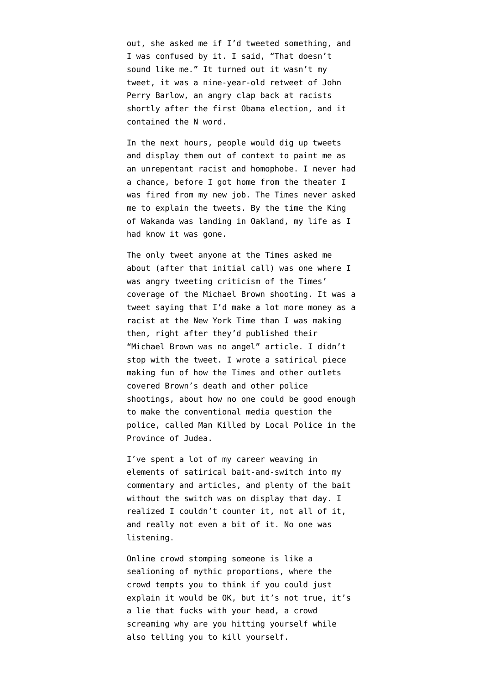out, she asked me if I'd tweeted something, and I was confused by it. I said, "That doesn't sound like me." It turned out it wasn't my tweet, it was a nine-year-old retweet of John Perry Barlow, an angry clap back at racists shortly after the first Obama election, and it contained the N word.

In the next hours, people would dig up tweets and display them out of context to paint me as an unrepentant racist and homophobe. I never had a chance, before I got home from the theater I was fired from my new job. The Times never asked me to explain the tweets. By the time the King of Wakanda was landing in Oakland, my life as I had know it was gone.

The only tweet anyone at the Times asked me about (after that initial call) was one where I was angry tweeting criticism of the Times' coverage of the Michael Brown shooting. It was a tweet saying that I'd make a lot more money as a racist at the New York Time than I was making then, right after they'd published their "Michael Brown was no angel" article. I didn't stop with the tweet. I wrote a satirical piece making fun of how the Times and other outlets covered Brown's death and other police shootings, about how no one could be good enough to make the conventional media question the police, called [Man Killed by Local Police in the](https://medium.com/message/man-killed-by-local-police-in-the-province-of-judea-699fc0455403) [Province of Judea.](https://medium.com/message/man-killed-by-local-police-in-the-province-of-judea-699fc0455403)

I've spent a lot of my career weaving in elements of satirical bait-and-switch into my commentary and articles, and plenty of the bait without the switch was on display that day. I realized I couldn't counter it, not all of it, and really not even a bit of it. No one was listening.

Online crowd stomping someone is like a sealioning of mythic proportions, where the crowd tempts you to think if you could just explain it would be OK, but it's not true, it's a lie that fucks with your head, a crowd screaming why are you hitting yourself while also telling you to kill yourself.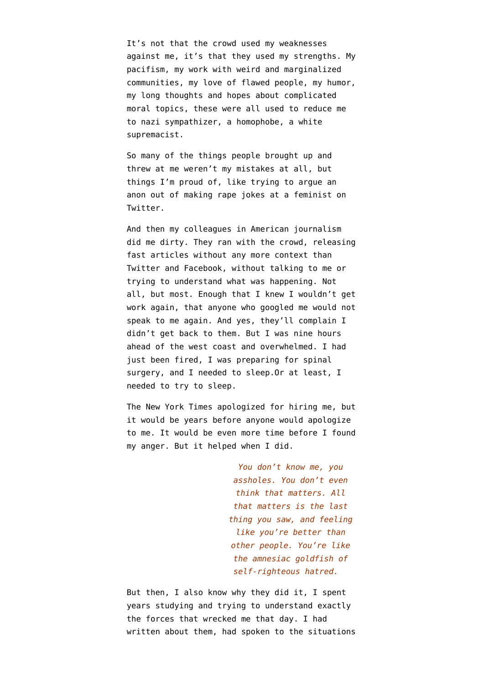It's not that the crowd used my weaknesses against me, it's that they used my strengths. My pacifism, my work with weird and marginalized communities, my love of flawed people, my humor, my long thoughts and hopes about complicated moral topics, these were all used to reduce me to nazi sympathizer, a homophobe, a white supremacist.

So many of the things people brought up and threw at me weren't my mistakes at all, but things I'm proud of, like [trying to argue an](https://medium.com/message/context-collapse-architecture-and-plows-d23a0d2f7697) [anon out of making rape jokes at a feminist](https://medium.com/message/context-collapse-architecture-and-plows-d23a0d2f7697) on Twitter.

And then my colleagues in American journalism did me dirty. They ran with the crowd, releasing fast articles without any more context than Twitter and Facebook, without talking to me or trying to understand what was happening. [Not](https://www.wired.com/story/the-ny-times-fires-tech-writer-quinn-norton-and-its-complicated/) [all,](https://www.wired.com/story/the-ny-times-fires-tech-writer-quinn-norton-and-its-complicated/) but most. Enough that I knew I wouldn't get work again, that anyone who googled me would not speak to me again. And yes, they'll complain I didn't get back to them. But I was nine hours ahead of the west coast and overwhelmed. I had just been fired, I was preparing for spinal surgery, and I needed to sleep.Or at least, I needed to try to sleep.

The New York Times apologized for hiring me, but it would be years before anyone would apologize to me. It would be even more time before I found my anger. But it helped when I did.

> *You don't know me, you assholes. You don't even think that matters. All that matters is the last thing you saw, and feeling like you're better than other people. You're like the amnesiac goldfish of self-righteous hatred.*

But then, I also know why they did it, I spent years studying and trying to understand exactly the forces that wrecked me that day. I had written about them, had spoken to the situations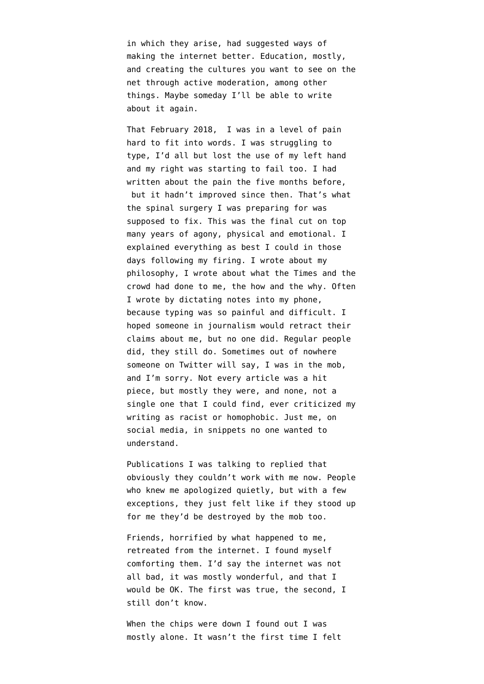in which they arise, had suggested ways of making the internet better. Education, mostly, and creating the cultures you want to see on the net through active moderation, among other things. Maybe someday I'll be able to write about it again.

That February 2018, I was in a level of pain hard to fit into words. I was struggling to type, I'd all but lost the use of my left hand and my right was starting to fail too. [I had](https://medium.com/@quinnnorton/learning-from-pain-6cddfc587512) [written about the pain the five months before](https://medium.com/@quinnnorton/learning-from-pain-6cddfc587512), but it hadn't improved since then. That's what the spinal surgery I was preparing for was supposed to fix. This was the final cut on top many years of agony, physical and emotional. I explained everything as best I could in those days following my firing. I wrote about [my](https://www.emptywheel.net/2018/02/26/we-have-to-build-the-future-out-of-the-past/) [philosophy,](https://www.emptywheel.net/2018/02/26/we-have-to-build-the-future-out-of-the-past/) I wrote about what [the Times and the](https://www.theatlantic.com/technology/archive/2018/02/the-new-york-times-fired-my-doppelganger/554402/) [crowd had done to me](https://www.theatlantic.com/technology/archive/2018/02/the-new-york-times-fired-my-doppelganger/554402/), the how and the why. Often I wrote by dictating notes into my phone, because typing was so painful and difficult. I hoped someone in journalism would retract their claims about me, but no one did. Regular people did, they still do. Sometimes out of nowhere someone on Twitter will say, I was in the mob, and I'm sorry. Not every article was a hit piece, but mostly they were, and none, not a single one that I could find, ever criticized my writing as racist or homophobic. Just me, on social media, in snippets no one wanted to understand.

Publications I was talking to replied that obviously they couldn't work with me now. People who knew me apologized quietly, but with a few exceptions, they just felt like if they stood up for me they'd be destroyed by the mob too.

Friends, horrified by what happened to me, retreated from the internet. I found myself comforting them. I'd say the internet was not all bad, it was mostly wonderful, and that I would be OK. The first was true, the second, I still don't know.

When the chips were down I found out I was mostly alone. It wasn't the first time I felt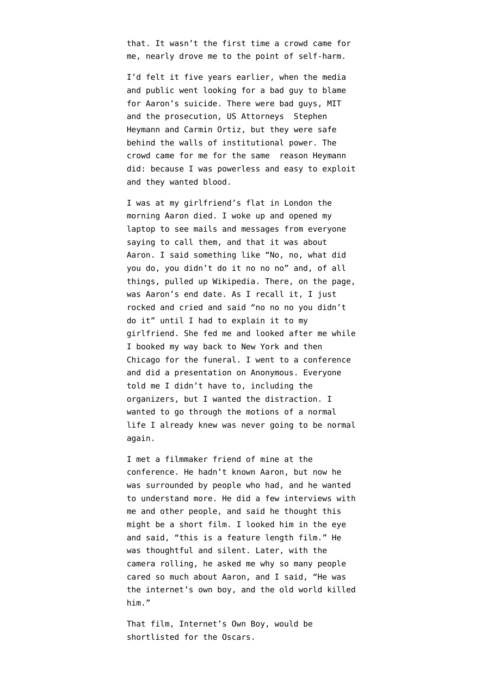that. It wasn't the first time a crowd came for me, nearly drove me to the point of self-harm.

I'd felt it five years earlier, when the media and public went looking for a bad guy to blame for Aaron's suicide. There were bad guys, MIT and the prosecution, US Attorneys Stephen Heymann and Carmin Ortiz, but they were safe behind the walls of institutional power. The crowd came for me for the same reason Heymann did: because I was powerless and easy to exploit and they wanted blood.

I was at my girlfriend's flat in London the morning Aaron died. I woke up and opened my laptop to see mails and messages from everyone saying to call them, and that it was about Aaron. I said something like "No, no, what did you do, you didn't do it no no no" and, of all things, pulled up Wikipedia. There, on the page, was Aaron's end date. As I recall it, I just rocked and cried and said "no no no you didn't do it" until I had to explain it to my girlfriend. She fed me and looked after me while I booked my way back to New York and then Chicago for the funeral. I went to a conference and did a presentation on Anonymous. Everyone told me I didn't have to, including the organizers, but I wanted the distraction. I wanted to go through the motions of a normal life I already knew was never going to be normal again.

I met a filmmaker friend of mine at the conference. He hadn't known Aaron, but now he was surrounded by people who had, and he wanted to understand more. He did a few interviews with me and other people, and said he thought this might be a short film. I looked him in the eye and said, "this is a feature length film." He was thoughtful and silent. Later, with the camera rolling, he asked me why so many people cared so much about Aaron, and I said, "He was the internet's own boy, and the old world killed him."

That film, [Internet's Own Boy](http://www.takepart.com/internets-own-boy/index.html), would be shortlisted for the Oscars.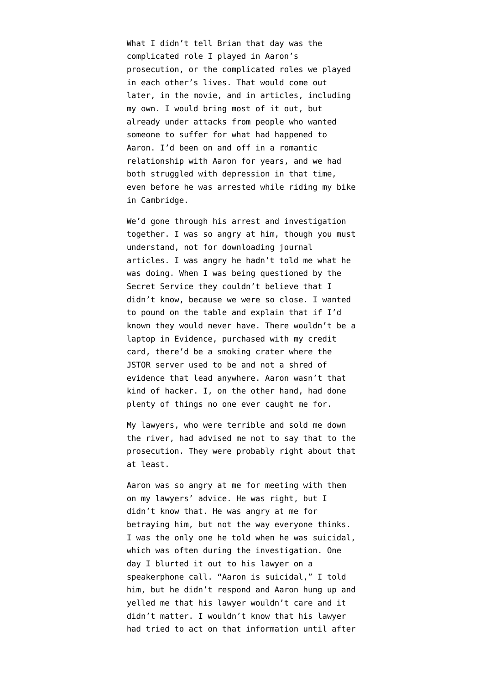What I didn't tell Brian that day was the complicated role I played in Aaron's prosecution, or the complicated roles we played in each other's lives. That would come out later, in the movie, and in articles, including my own. [I would bring most of it out](https://www.theatlantic.com/technology/archive/2013/03/life-inside-the-aaron-swartz-investigation/273654/#disqus_thread), but already under attacks from people who wanted someone to suffer for what had happened to Aaron. I'd been on and off in a romantic relationship with Aaron for years, and we had both struggled with depression in that time, even before he was arrested while riding my bike in Cambridge.

We'd gone through his arrest and investigation together. I was so angry at him, though you must understand, not for downloading journal articles. I was angry he hadn't told me what he was doing. When I was being questioned by the Secret Service they couldn't believe that I didn't know, because we were so close. I wanted to pound on the table and explain that if I'd known they would never have. There wouldn't be a laptop in Evidence, purchased with my credit card, there'd be a smoking crater where the JSTOR server used to be and not a shred of evidence that lead anywhere. Aaron wasn't that kind of hacker. I, on the other hand, had done plenty of things no one ever caught me for.

My lawyers, who were terrible and sold me down the river, had advised me not to say that to the prosecution. They were probably right about that at least.

Aaron was so angry at me for meeting with them on my lawyers' advice. He was right, but I didn't know that. He was angry at me for betraying him, but not the way everyone thinks. I was the only one he told when he was suicidal, which was often during the investigation. One day I blurted it out to his lawyer on a speakerphone call. "Aaron is suicidal," I told him, but he didn't respond and Aaron hung up and yelled me that his lawyer wouldn't care and it didn't matter. I wouldn't know that his lawyer had tried to act on that information until after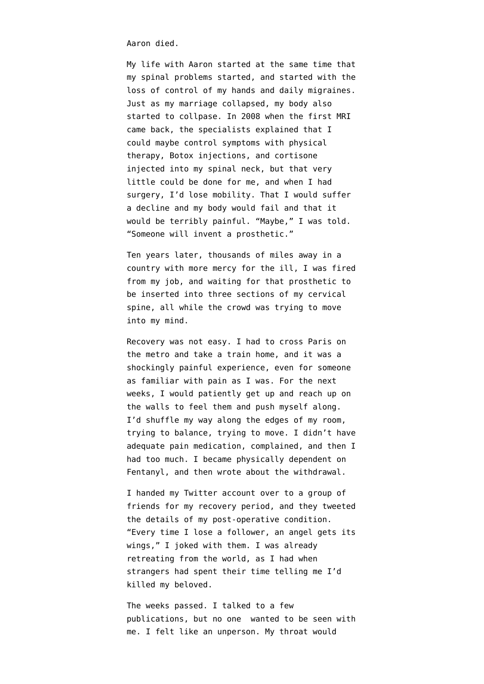Aaron died.

My life with Aaron started at the same time that my spinal problems started, and started with the loss of control of my hands and daily migraines. Just as my marriage collapsed, my body also started to collpase. In 2008 when the first MRI came back, the specialists explained that I could maybe control symptoms with physical therapy, Botox injections, and cortisone injected into my spinal neck, but that very little could be done for me, and when I had surgery, I'd lose mobility. That I would suffer a decline and my body would fail and that it would be terribly painful. "Maybe," I was told. "Someone will invent a prosthetic."

Ten years later, thousands of miles away in a country with more mercy for the ill, I was fired from my job, and waiting for that prosthetic to be inserted into three sections of my cervical spine, all while the crowd was trying to move into my mind.

Recovery was not easy. I had to cross Paris on the metro and take a train home, and it was a shockingly painful experience, even for someone as familiar with pain as I was. For the next weeks, I would patiently get up and reach up on the walls to feel them and push myself along. I'd shuffle my way along the edges of my room, trying to balance, trying to move. I didn't have adequate pain medication, complained, and then I had too much. I became physically dependent on Fentanyl, and then wrote about [the withdrawal](https://medium.com/@quinnnorton/first-person-opioid-withdrawal-50906fa98a9f).

I handed my Twitter account over to a group of friends for my recovery period, and they tweeted the details of my post-operative condition. "Every time I lose a follower, an angel gets its wings," I joked with them. I was already retreating from the world, as I had when strangers had spent their time telling me I'd killed my beloved.

The weeks passed. I talked to a few publications, but no one wanted to be seen with me. I felt like an unperson. My throat would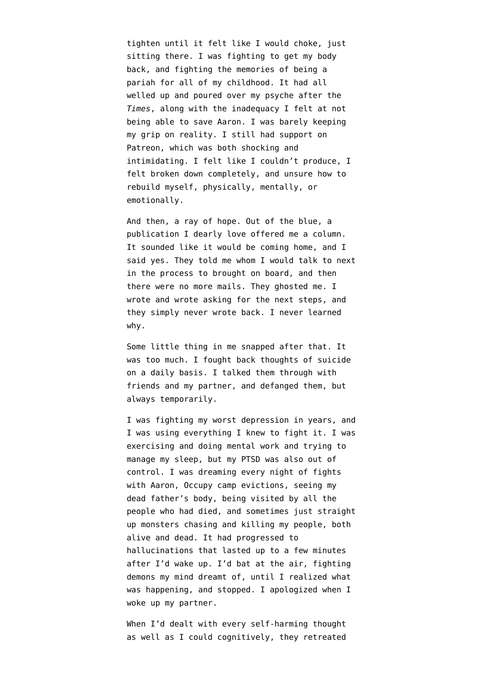tighten until it felt like I would choke, just sitting there. I was fighting to get my body back, and fighting the memories of being a pariah for all of my childhood. It had all welled up and poured over my psyche after the *Times*, along with the inadequacy I felt at not being able to save Aaron. I was barely keeping my grip on reality. I still had support on Patreon, which was both shocking and intimidating. I felt like I couldn't produce, I felt broken down completely, and unsure how to rebuild myself, physically, mentally, or emotionally.

And then, a ray of hope. Out of the blue, a publication I dearly love offered me a column. It sounded like it would be coming home, and I said yes. They told me whom I would talk to next in the process to brought on board, and then there were no more mails. They ghosted me. I wrote and wrote asking for the next steps, and they simply never wrote back. I never learned why.

Some little thing in me snapped after that. It was too much. I fought back thoughts of suicide on a daily basis. I talked them through with friends and my partner, and defanged them, but always temporarily.

I was fighting my worst depression in years, and I was using everything I knew to fight it. I was exercising and doing mental work and trying to manage my sleep, but my PTSD was also out of control. I was dreaming every night of fights with Aaron, Occupy camp evictions, seeing my dead father's body, being visited by all the people who had died, and sometimes just straight up monsters chasing and killing my people, both alive and dead. It had progressed to hallucinations that lasted up to a few minutes after I'd wake up. I'd bat at the air, fighting demons my mind dreamt of, until I realized what was happening, and stopped. I apologized when I woke up my partner.

When I'd dealt with every self-harming thought as well as I could cognitively, they retreated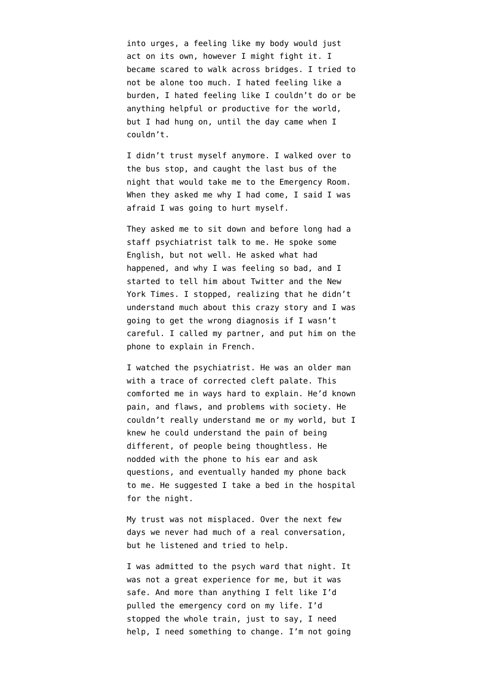into urges, a feeling like my body would just act on its own, however I might fight it. I became scared to walk across bridges. I tried to not be alone too much. I hated feeling like a burden, I hated feeling like I couldn't do or be anything helpful or productive for the world, but I had hung on, until the day came when I couldn't.

I didn't trust myself anymore. I walked over to the bus stop, and caught the last bus of the night that would take me to the Emergency Room. When they asked me why I had come, I said I was afraid I was going to hurt myself.

They asked me to sit down and before long had a staff psychiatrist talk to me. He spoke some English, but not well. He asked what had happened, and why I was feeling so bad, and I started to tell him about Twitter and the New York Times. I stopped, realizing that he didn't understand much about this crazy story and I was going to get the wrong diagnosis if I wasn't careful. I called my partner, and put him on the phone to explain in French.

I watched the psychiatrist. He was an older man with a trace of corrected cleft palate. This comforted me in ways hard to explain. He'd known pain, and flaws, and problems with society. He couldn't really understand me or my world, but I knew he could understand the pain of being different, of people being thoughtless. He nodded with the phone to his ear and ask questions, and eventually handed my phone back to me. He suggested I take a bed in the hospital for the night.

My trust was not misplaced. Over the next few days we never had much of a real conversation, but he listened and tried to help.

I was admitted to the psych ward that night. It was not a great experience for me, but it was safe. And more than anything I felt like I'd pulled the emergency cord on my life. I'd stopped the whole train, just to say, I need help, I need something to change. I'm not going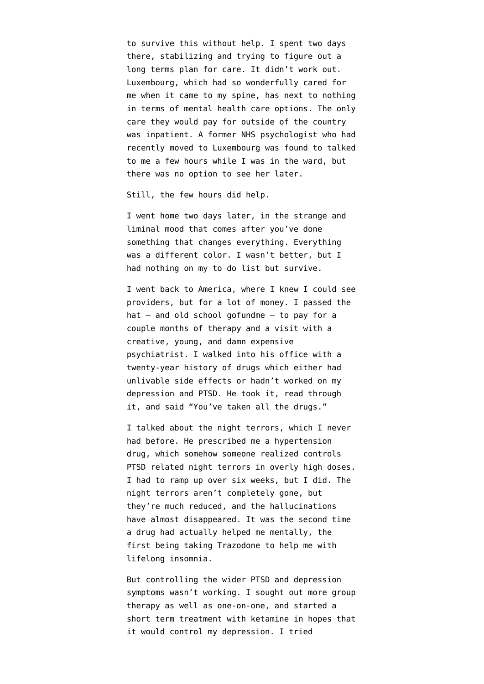to survive this without help. I spent two days there, stabilizing and trying to figure out a long terms plan for care. It didn't work out. Luxembourg, which had so wonderfully cared for me when it came to my spine, has next to nothing in terms of mental health care options. The only care they would pay for outside of the country was inpatient. A former NHS psychologist who had recently moved to Luxembourg was found to talked to me a few hours while I was in the ward, but there was no option to see her later.

Still, the few hours did help.

I went home two days later, in the strange and liminal mood that comes after you've done something that changes everything. Everything was a different color. I wasn't better, but I had nothing on my to do list but survive.

I went back to America, where I knew I could see providers, but for a lot of money. I passed the hat — and old school gofundme — to pay for a couple months of therapy and a visit with a creative, young, and damn expensive psychiatrist. I walked into his office with a twenty-year history of drugs which either had unlivable side effects or hadn't worked on my depression and PTSD. He took it, read through it, and said "You've taken all the drugs."

I talked about the night terrors, which I never had before. He prescribed me a hypertension drug, which somehow someone realized controls PTSD related night terrors in overly high doses. I had to ramp up over six weeks, but I did. The night terrors aren't completely gone, but they're much reduced, and the hallucinations have almost disappeared. It was the second time a drug had actually helped me mentally, the first being taking Trazodone to help me with lifelong insomnia.

But controlling the wider PTSD and depression symptoms wasn't working. I sought out more group therapy as well as one-on-one, and started a short term treatment with ketamine in hopes that it would control my depression. I tried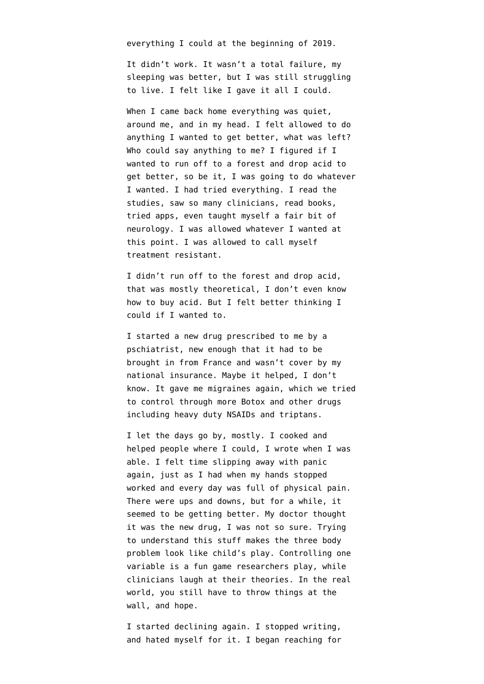everything I could at the beginning of 2019.

It didn't work. It wasn't a total failure, my sleeping was better, but I was still struggling to live. I felt like I gave it all I could.

When I came back home everything was quiet, around me, and in my head. I felt allowed to do anything I wanted to get better, what was left? Who could say anything to me? I figured if I wanted to run off to a forest and drop acid to get better, so be it, I was going to do whatever I wanted. I had tried everything. I read the studies, saw so many clinicians, read books, tried apps, even taught myself a fair bit of neurology. I was allowed whatever I wanted at this point. I was allowed to call myself treatment resistant.

I didn't run off to the forest and drop acid, that was mostly theoretical, I don't even know how to buy acid. But I felt better thinking I could if I wanted to.

I started a new drug prescribed to me by a pschiatrist, new enough that it had to be brought in from France and wasn't cover by my national insurance. Maybe it helped, I don't know. It gave me migraines again, which we tried to control through more Botox and other drugs including heavy duty NSAIDs and triptans.

I let the days go by, mostly. I cooked and helped people where I could, I wrote when I was able. I felt time slipping away with panic again, just as I had when my hands stopped worked and every day was full of physical pain. There were ups and downs, but for a while, it seemed to be getting better. My doctor thought it was the new drug, I was not so sure. Trying to understand this stuff makes the three body problem look like child's play. Controlling one variable is a fun game researchers play, while clinicians laugh at their theories. In the real world, you still have to throw things at the wall, and hope.

I started declining again. I stopped writing, and hated myself for it. I began reaching for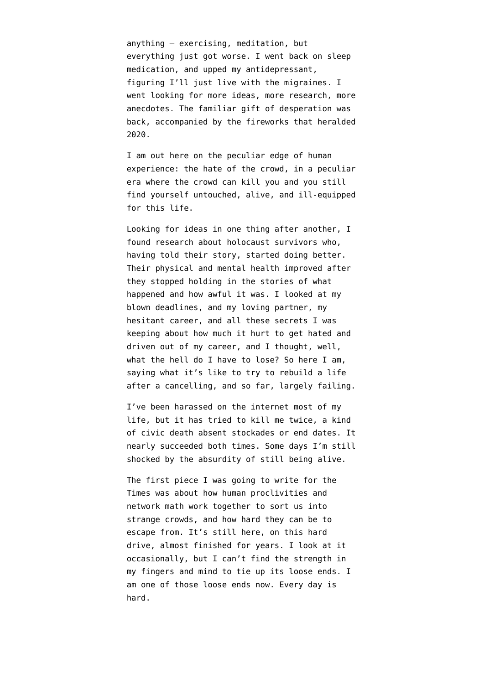anything — exercising, meditation, but everything just got worse. I went back on sleep medication, and upped my antidepressant, figuring I'll just live with the migraines. I went looking for more ideas, more research, more anecdotes. The familiar gift of desperation was back, accompanied by the fireworks that heralded 2020.

I am out here on the peculiar edge of human experience: the hate of the crowd, in a peculiar era where the crowd can kill you and you still find yourself untouched, alive, and ill-equipped for this life.

Looking for ideas in one thing after another, I found research about holocaust survivors who, having told their story, started doing better. Their physical and mental health improved after they stopped holding in the stories of what happened and how awful it was. I looked at my blown deadlines, and my loving partner, my hesitant career, and all these secrets I was keeping about how much it hurt to get hated and driven out of my career, and I thought, well, what the hell do I have to lose? So here I am, saying what it's like to try to rebuild a life after a cancelling, and so far, largely failing.

I've been harassed on the internet most of my life, but it has tried to kill me twice, a kind of civic death absent stockades or end dates. It nearly succeeded both times. Some days I'm still shocked by the absurdity of still being alive.

The first piece I was going to write for the Times was about how human proclivities and network math work together to sort us into strange crowds, and how hard they can be to escape from. It's still here, on this hard drive, almost finished for years. I look at it occasionally, but I can't find the strength in my fingers and mind to tie up its loose ends. I am one of those loose ends now. Every day is hard.